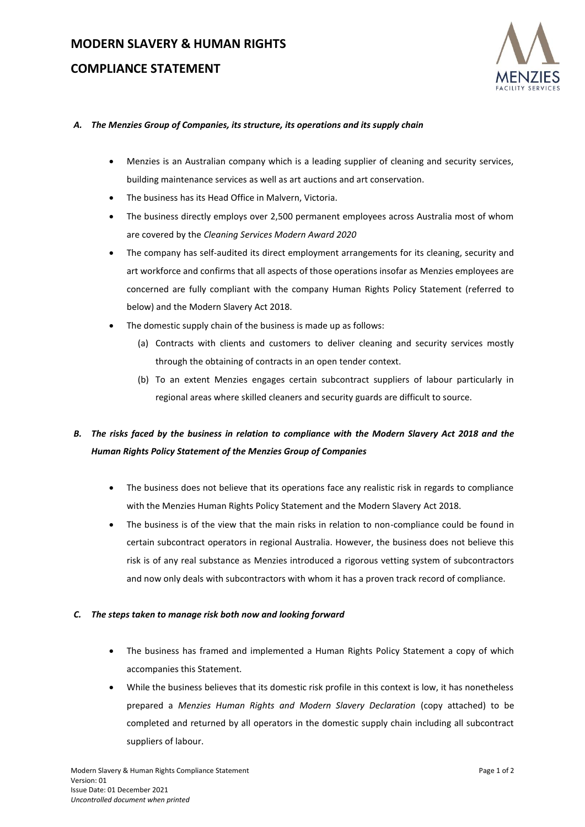# **COMPLIANCE STATEMENT**



### *A. The Menzies Group of Companies, its structure, its operations and its supply chain*

- Menzies is an Australian company which is a leading supplier of cleaning and security services, building maintenance services as well as art auctions and art conservation.
- The business has its Head Office in Malvern, Victoria.
- The business directly employs over 2,500 permanent employees across Australia most of whom are covered by the *Cleaning Services Modern Award 2020*
- The company has self-audited its direct employment arrangements for its cleaning, security and art workforce and confirms that all aspects of those operations insofar as Menzies employees are concerned are fully compliant with the company Human Rights Policy Statement (referred to below) and the Modern Slavery Act 2018.
- The domestic supply chain of the business is made up as follows:
	- (a) Contracts with clients and customers to deliver cleaning and security services mostly through the obtaining of contracts in an open tender context.
	- (b) To an extent Menzies engages certain subcontract suppliers of labour particularly in regional areas where skilled cleaners and security guards are difficult to source.

# *B. The risks faced by the business in relation to compliance with the Modern Slavery Act 2018 and the Human Rights Policy Statement of the Menzies Group of Companies*

- The business does not believe that its operations face any realistic risk in regards to compliance with the Menzies Human Rights Policy Statement and the Modern Slavery Act 2018.
- The business is of the view that the main risks in relation to non-compliance could be found in certain subcontract operators in regional Australia. However, the business does not believe this risk is of any real substance as Menzies introduced a rigorous vetting system of subcontractors and now only deals with subcontractors with whom it has a proven track record of compliance.

## *C. The steps taken to manage risk both now and looking forward*

- The business has framed and implemented a Human Rights Policy Statement a copy of which accompanies this Statement.
- While the business believes that its domestic risk profile in this context is low, it has nonetheless prepared a *Menzies Human Rights and Modern Slavery Declaration* (copy attached) to be completed and returned by all operators in the domestic supply chain including all subcontract suppliers of labour.